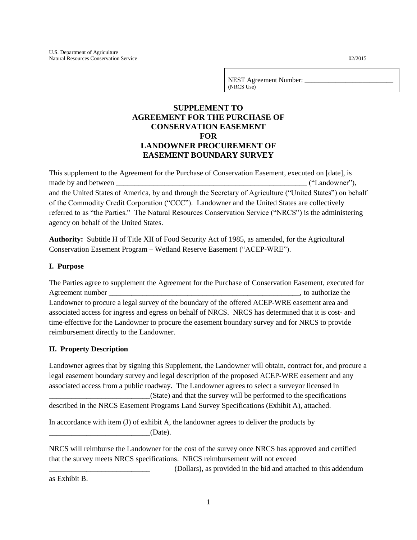NEST Agreement Number: (NRCS Use)

# **SUPPLEMENT TO AGREEMENT FOR THE PURCHASE OF CONSERVATION EASEMENT FOR LANDOWNER PROCUREMENT OF EASEMENT BOUNDARY SURVEY**

This supplement to the Agreement for the Purchase of Conservation Easement, executed on [date], is made by and between the contract of the contract of the contract of the contract of the contract of the contract of the contract of the contract of the contract of the contract of the contract of the contract of the contra and the United States of America, by and through the Secretary of Agriculture ("United States") on behalf of the Commodity Credit Corporation ("CCC"). Landowner and the United States are collectively referred to as "the Parties." The Natural Resources Conservation Service ("NRCS") is the administering agency on behalf of the United States.

**Authority:** Subtitle H of Title XII of Food Security Act of 1985, as amended, for the Agricultural Conservation Easement Program – Wetland Reserve Easement ("ACEP-WRE").

## **I. Purpose**

The Parties agree to supplement the Agreement for the Purchase of Conservation Easement, executed for Agreement number the contract of the contract of the contract of the contract of the contract of the contract of the contract of the contract of the contract of the contract of the contract of the contract of the contract Landowner to procure a legal survey of the boundary of the offered ACEP-WRE easement area and associated access for ingress and egress on behalf of NRCS. NRCS has determined that it is cost- and time-effective for the Landowner to procure the easement boundary survey and for NRCS to provide reimbursement directly to the Landowner.

# **II. Property Description**

Landowner agrees that by signing this Supplement, the Landowner will obtain, contract for, and procure a legal easement boundary survey and legal description of the proposed ACEP-WRE easement and any associated access from a public roadway. The Landowner agrees to select a surveyor licensed in \_\_\_\_\_\_\_\_\_\_\_\_\_\_\_\_\_\_\_\_\_\_\_\_\_\_\_(State) and that the survey will be performed to the specifications described in the NRCS Easement Programs Land Survey Specifications (Exhibit A), attached.

In accordance with item (J) of exhibit A, the landowner agrees to deliver the products by  $(Date)$ .

NRCS will reimburse the Landowner for the cost of the survey once NRCS has approved and certified that the survey meets NRCS specifications. NRCS reimbursement will not exceed

\_\_\_\_\_\_\_\_\_\_\_\_\_\_\_\_\_\_\_\_\_\_\_\_\_\_\_ (Dollars), as provided in the bid and attached to this addendum

as Exhibit B.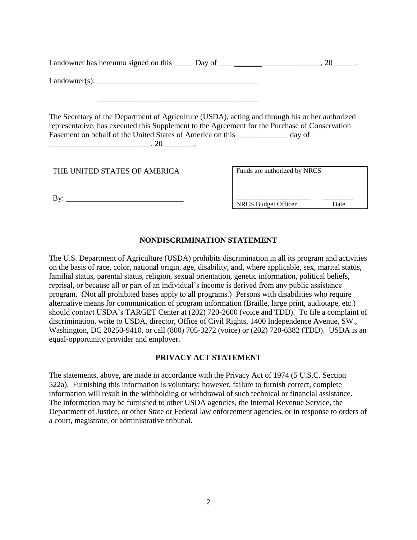| Landowner has hereunto signed on this ______ Day of ____________________________, 20________.                                                                                                                                                                                                                          |                              |
|------------------------------------------------------------------------------------------------------------------------------------------------------------------------------------------------------------------------------------------------------------------------------------------------------------------------|------------------------------|
|                                                                                                                                                                                                                                                                                                                        |                              |
| The Secretary of the Department of Agriculture (USDA), acting and through his or her authorized<br>representative, has executed this Supplement to the Agreement for the Purchase of Conservation<br>Easement on behalf of the United States of America on this __________ day of<br>$\overbrace{\hspace{2.5cm}}^{20}$ |                              |
| THE UNITED STATES OF AMERICA                                                                                                                                                                                                                                                                                           | Funds are authorized by NRCS |
| By: $\overline{\phantom{a}}$                                                                                                                                                                                                                                                                                           | NRCS Budget Officer<br>Date  |

## **NONDISCRIMINATION STATEMENT**

The U.S. Department of Agriculture (USDA) prohibits discrimination in all its program and activities on the basis of race, color, national origin, age, disability, and, where applicable, sex, marital status, familial status, parental status, religion, sexual orientation, genetic information, political beliefs, reprisal, or because all or part of an individual's income is derived from any public assistance program. (Not all prohibited bases apply to all programs.) Persons with disabilities who require alternative means for communication of program information (Braille, large print, audiotape, etc.) should contact USDA's TARGET Center at (202) 720-2600 (voice and TDD). To file a complaint of discrimination, write to USDA, director, Office of Civil Rights, 1400 Independence Avenue, SW., Washington, DC 20250-9410, or call (800) 705-3272 (voice) or (202) 720-6382 (TDD). USDA is an equal-opportunity provider and employer.

#### **PRIVACY ACT STATEMENT**

The statements, above, are made in accordance with the Privacy Act of 1974 (5 U.S.C. Section 522a). Furnishing this information is voluntary; however, failure to furnish correct, complete information will result in the withholding or withdrawal of such technical or financial assistance. The information may be furnished to other USDA agencies, the Internal Revenue Service, the Department of Justice, or other State or Federal law enforcement agencies, or in response to orders of a court, magistrate, or administrative tribunal.